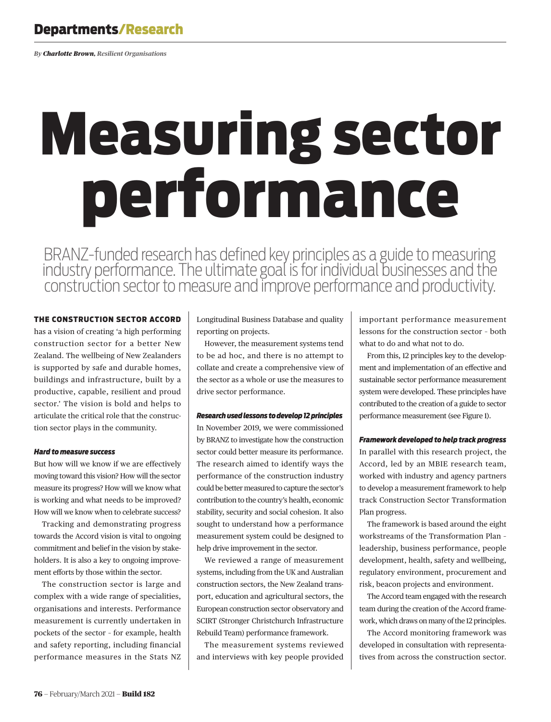# Departments/Research

*By Charlotte Brown, Resilient Organisations*

# Measuring sector performance

BRANZ-funded research has defined key principles as a guide to measuring industry performance. The ultimate goal is for individual businesses and the construction sector to measure and improve performance and productivity.

# THE CONSTRUCTION SECTOR ACCORD

has a vision of creating 'a high performing construction sector for a better New Zealand. The wellbeing of New Zealanders is supported by safe and durable homes, buildings and infrastructure, built by a productive, capable, resilient and proud sector.' The vision is bold and helps to articulate the critical role that the construction sector plays in the community.

# *Hard to measure success*

But how will we know if we are effectively moving toward this vision? How will the sector measure its progress? How will we know what is working and what needs to be improved? How will we know when to celebrate success?

Tracking and demonstrating progress towards the Accord vision is vital to ongoing commitment and belief in the vision by stakeholders. It is also a key to ongoing improvement efforts by those within the sector.

The construction sector is large and complex with a wide range of specialities, organisations and interests. Performance measurement is currently undertaken in pockets of the sector – for example, health and safety reporting, including financial performance measures in the Stats NZ

Longitudinal Business Database and quality reporting on projects.

However, the measurement systems tend to be ad hoc, and there is no attempt to collate and create a comprehensive view of the sector as a whole or use the measures to drive sector performance.

# *Research used lessons to develop 12 principles*

In November 2019, we were commissioned by BRANZ to investigate how the construction sector could better measure its performance. The research aimed to identify ways the performance of the construction industry could be better measured to capture the sector's contribution to the country's health, economic stability, security and social cohesion. It also sought to understand how a performance measurement system could be designed to help drive improvement in the sector.

We reviewed a range of measurement systems, including from the UK and Australian construction sectors, the New Zealand transport, education and agricultural sectors, the European construction sector observatory and SCIRT (Stronger Christchurch Infrastructure Rebuild Team) performance framework.

The measurement systems reviewed and interviews with key people provided

important performance measurement lessons for the construction sector – both what to do and what not to do.

From this, 12 principles key to the development and implementation of an effective and sustainable sector performance measurement system were developed. These principles have contributed to the creation of a guide to sector performance measurement (see Figure 1).

# *Framework developed to help track progress*

In parallel with this research project, the Accord, led by an MBIE research team, worked with industry and agency partners to develop a measurement framework to help track Construction Sector Transformation Plan progress.

The framework is based around the eight workstreams of the Transformation Plan – leadership, business performance, people development, health, safety and wellbeing, regulatory environment, procurement and risk, beacon projects and environment.

The Accord team engaged with the research team during the creation of the Accord framework, which draws on many of the 12 principles.

The Accord monitoring framework was developed in consultation with representatives from across the construction sector.